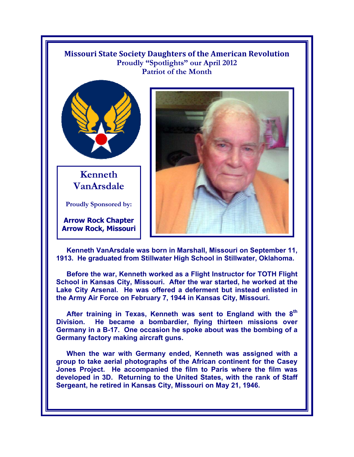## **Missouri State Society Daughters of the American Revolution**  Proudly "Spotlights" our April 2012 **Patriot of the Month**



**Kenneth VanArsdale** 

**Proudly Sponsored by:** 

**Arrow Rock Chapter Arrow Rock, Missouri**



**Kenneth VanArsdale was born in Marshall, Missouri on September 11, 1913. He graduated from Stillwater High School in Stillwater, Oklahoma.** 

**Before the war, Kenneth worked as a Flight Instructor for TOTH Flight School in Kansas City, Missouri. After the war started, he worked at the Lake City Arsenal. He was offered a deferment but instead enlisted in the Army Air Force on February 7, 1944 in Kansas City, Missouri.** 

**After training in Texas, Kenneth was sent to England with the 8th Division. He became a bombardier, flying thirteen missions over Germany in a B-17. One occasion he spoke about was the bombing of a Germany factory making aircraft guns.** 

**When the war with Germany ended, Kenneth was assigned with a group to take aerial photographs of the African continent for the Casey Jones Project. He accompanied the film to Paris where the film was developed in 3D. Returning to the United States, with the rank of Staff Sergeant, he retired in Kansas City, Missouri on May 21, 1946.**